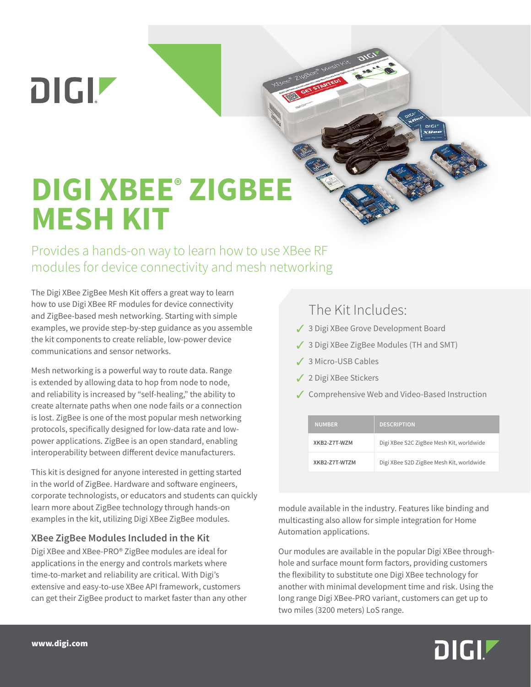**DIGIZ** 

## **DIGI XBEE® ZIGBEE MESH KIT**

Provides a hands-on way to learn how to use XBee RF modules for device connectivity and mesh networking

The Digi XBee ZigBee Mesh Kit offers a great way to learn how to use Digi XBee RF modules for device connectivity and ZigBee-based mesh networking. Starting with simple examples, we provide step-by-step guidance as you assemble the kit components to create reliable, low-power device communications and sensor networks.

Mesh networking is a powerful way to route data. Range is extended by allowing data to hop from node to node, and reliability is increased by "self-healing," the ability to create alternate paths when one node fails or a connection is lost. ZigBee is one of the most popular mesh networking protocols, specifically designed for low-data rate and lowpower applications. ZigBee is an open standard, enabling interoperability between different device manufacturers.

This kit is designed for anyone interested in getting started in the world of ZigBee. Hardware and software engineers, corporate technologists, or educators and students can quickly learn more about ZigBee technology through hands-on examples in the kit, utilizing Digi XBee ZigBee modules.

## **XBee ZigBee Modules Included in the Kit**

Digi XBee and XBee-PRO® ZigBee modules are ideal for applications in the energy and controls markets where time-to-market and reliability are critical. With Digi's extensive and easy-to-use XBee API framework, customers can get their ZigBee product to market faster than any other

## The Kit Includes:

- 3 3 Digi XBee Grove Development Board
- 3 3 Digi XBee ZigBee Modules (TH and SMT)
- ✔ 3 Micro-USB Cables
- 3 2 Digi XBee Stickers
- ✔ Comprehensive Web and Video-Based Instruction

| <b>NUMBER</b> | <b>DESCRIPTION</b>                       |
|---------------|------------------------------------------|
| XKB2-77T-W7M  | Digi XBee S2C ZigBee Mesh Kit, worldwide |
| XKR2-Z7T-WTZM | Digi XBee S2D ZigBee Mesh Kit, worldwide |

module available in the industry. Features like binding and multicasting also allow for simple integration for Home Automation applications.

Our modules are available in the popular Digi XBee throughhole and surface mount form factors, providing customers the flexibility to substitute one Digi XBee technology for another with minimal development time and risk. Using the long range Digi XBee-PRO variant, customers can get up to two miles (3200 meters) LoS range.